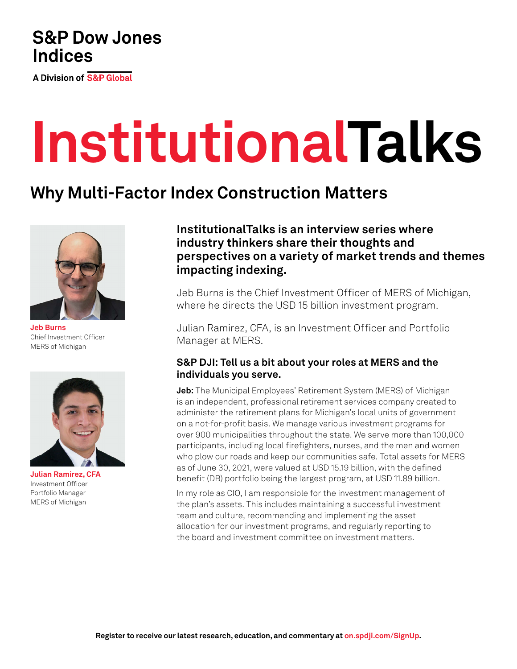## **S&P Dow Jones Indices**

**A Division of S&P Global** 

# **InstitutionalTalks**

## **Why Multi-Factor Index Construction Matters**



**Jeb Burns** Chief Investment Officer MERS of Michigan



**Julian Ramirez, CFA** Investment Officer Portfolio Manager MERS of Michigan

**InstitutionalTalks is an interview series where industry thinkers share their thoughts and perspectives on a variety of market trends and themes impacting indexing.**

Jeb Burns is the Chief Investment Officer of MERS of Michigan, where he directs the USD 15 billion investment program.

Julian Ramirez, CFA, is an Investment Officer and Portfolio Manager at MERS.

### **S&P DJI: Tell us a bit about your roles at MERS and the individuals you serve.**

**Jeb:** The Municipal Employees' Retirement System (MERS) of Michigan is an independent, professional retirement services company created to administer the retirement plans for Michigan's local units of government on a not-for-profit basis. We manage various investment programs for over 900 municipalities throughout the state. We serve more than 100,000 participants, including local firefighters, nurses, and the men and women who plow our roads and keep our communities safe. Total assets for MERS as of June 30, 2021, were valued at USD 15.19 billion, with the defined benefit (DB) portfolio being the largest program, at USD 11.89 billion.

In my role as CIO, I am responsible for the investment management of the plan's assets. This includes maintaining a successful investment team and culture, recommending and implementing the asset allocation for our investment programs, and regularly reporting to the board and investment committee on investment matters.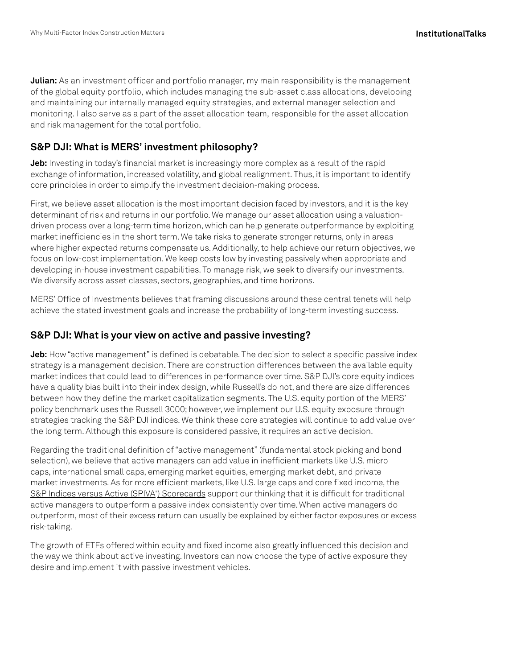**Julian:** As an investment officer and portfolio manager, my main responsibility is the management of the global equity portfolio, which includes managing the sub-asset class allocations, developing and maintaining our internally managed equity strategies, and external manager selection and monitoring. I also serve as a part of the asset allocation team, responsible for the asset allocation and risk management for the total portfolio.

#### **S&P DJI: What is MERS' investment philosophy?**

**Jeb:** Investing in today's financial market is increasingly more complex as a result of the rapid exchange of information, increased volatility, and global realignment. Thus, it is important to identify core principles in order to simplify the investment decision-making process.

First, we believe asset allocation is the most important decision faced by investors, and it is the key determinant of risk and returns in our portfolio. We manage our asset allocation using a valuationdriven process over a long-term time horizon, which can help generate outperformance by exploiting market inefficiencies in the short term. We take risks to generate stronger returns, only in areas where higher expected returns compensate us. Additionally, to help achieve our return objectives, we focus on low-cost implementation. We keep costs low by investing passively when appropriate and developing in-house investment capabilities. To manage risk, we seek to diversify our investments. We diversify across asset classes, sectors, geographies, and time horizons.

MERS' Office of Investments believes that framing discussions around these central tenets will help achieve the stated investment goals and increase the probability of long-term investing success.

#### **S&P DJI: What is your view on active and passive investing?**

**Jeb:** How "active management" is defined is debatable. The decision to select a specific passive index strategy is a management decision. There are construction differences between the available equity market indices that could lead to differences in performance over time. S&P DJI's core equity indices have a quality bias built into their index design, while Russell's do not, and there are size differences between how they define the market capitalization segments. The U.S. equity portion of the MERS' policy benchmark uses the Russell 3000; however, we implement our U.S. equity exposure through strategies tracking the S&P DJI indices. We think these core strategies will continue to add value over the long term. Although this exposure is considered passive, it requires an active decision.

Regarding the traditional definition of "active management" (fundamental stock picking and bond selection), we believe that active managers can add value in inefficient markets like U.S. micro caps, international small caps, emerging market equities, emerging market debt, and private market investments. As for more efficient markets, like U.S. large caps and core fixed income, the <u>[S&P Indices versus Active \(SPIVA®](https://www.spglobal.com/spdji/en/research-insights/spiva/?utm_source=pdf_education)) Scorecards</u> support our thinking that it is difficult for traditional active managers to outperform a passive index consistently over time. When active managers do outperform, most of their excess return can usually be explained by either factor exposures or excess risk-taking.

The growth of ETFs offered within equity and fixed income also greatly influenced this decision and the way we think about active investing. Investors can now choose the type of active exposure they desire and implement it with passive investment vehicles.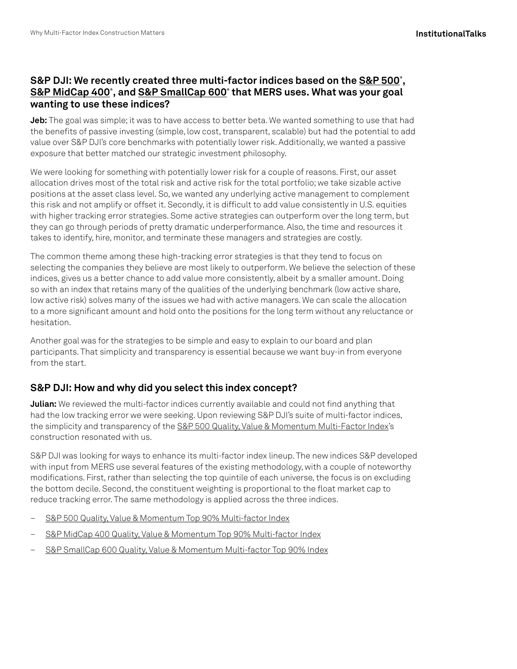### **S&P DJI: We recently created three multi-factor indices based on the [S&P 500®](https://www.spglobal.com/spdji/en/indices/equity/sp-500/?utm_source=pdf_education) , [S&P MidCap 400®](https://www.spglobal.com/spdji/en/indices/equity/sp-400/?utm_source=pdf_education) , and [S&P SmallCap 600®](https://www.spglobal.com/spdji/en/indices/equity/sp-600/?utm_source=pdf_education) that MERS uses. What was your goal wanting to use these indices?**

**Jeb:** The goal was simple; it was to have access to better beta. We wanted something to use that had the benefits of passive investing (simple, low cost, transparent, scalable) but had the potential to add value over S&P DJI's core benchmarks with potentially lower risk. Additionally, we wanted a passive exposure that better matched our strategic investment philosophy.

We were looking for something with potentially lower risk for a couple of reasons. First, our asset allocation drives most of the total risk and active risk for the total portfolio; we take sizable active positions at the asset class level. So, we wanted any underlying active management to complement this risk and not amplify or offset it. Secondly, it is difficult to add value consistently in U.S. equities with higher tracking error strategies. Some active strategies can outperform over the long term, but they can go through periods of pretty dramatic underperformance. Also, the time and resources it takes to identify, hire, monitor, and terminate these managers and strategies are costly.

The common theme among these high-tracking error strategies is that they tend to focus on selecting the companies they believe are most likely to outperform. We believe the selection of these indices, gives us a better chance to add value more consistently, albeit by a smaller amount. Doing so with an index that retains many of the qualities of the underlying benchmark (low active share, low active risk) solves many of the issues we had with active managers. We can scale the allocation to a more significant amount and hold onto the positions for the long term without any reluctance or hesitation.

Another goal was for the strategies to be simple and easy to explain to our board and plan participants. That simplicity and transparency is essential because we want buy-in from everyone from the start.

#### **S&P DJI: How and why did you select this index concept?**

**Julian:** We reviewed the multi-factor indices currently available and could not find anything that had the low tracking error we were seeking. Upon reviewing S&P DJI's suite of multi-factor indices, the simplicity and transparency of the [S&P 500 Quality, Value & Momentum Multi-Factor Index](https://www.spglobal.com/spdji/en/indices/strategy/sp-500-quality-value-momentum-multi-factor-index/?utm_source=pdf_education)'s construction resonated with us.

S&P DJI was looking for ways to enhance its multi-factor index lineup. The new indices S&P developed with input from MERS use several features of the existing methodology, with a couple of noteworthy modifications. First, rather than selecting the top quintile of each universe, the focus is on excluding the bottom decile. Second, the constituent weighting is proportional to the float market cap to reduce tracking error. The same methodology is applied across the three indices.

- [S&P 500 Quality, Value & Momentum Top 90% Multi-factor Index](https://www.spglobal.com/spdji/en/indices/strategy/sp-500-quality-value-momentum-top-90-multi-factor-index/?utm_source=pdf_education)
- [S&P MidCap 400 Quality, Value & Momentum Top 90% Multi-factor Index](https://www.spglobal.com/spdji/en/indices/strategy/sp-midcap-400-quality-value-momentum-top-90-multi-factor-index/?utm_source=pdf_education)
- [S&P SmallCap 600 Quality, Value & Momentum Multi-factor Top 90% Index](https://www.spglobal.com/spdji/en/indices/strategy/sp-smallcap-600-quality-value-momentum-top-90-multi-factor-index/?utm_source=pdf_education)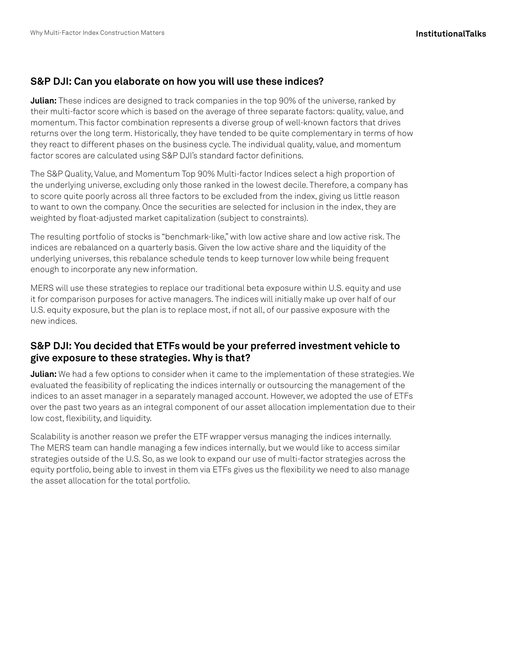#### **S&P DJI: Can you elaborate on how you will use these indices?**

**Julian:** These indices are designed to track companies in the top 90% of the universe, ranked by their multi-factor score which is based on the average of three separate factors: quality, value, and momentum. This factor combination represents a diverse group of well-known factors that drives returns over the long term. Historically, they have tended to be quite complementary in terms of how they react to different phases on the business cycle. The individual quality, value, and momentum factor scores are calculated using S&P DJI's standard factor definitions.

The S&P Quality, Value, and Momentum Top 90% Multi-factor Indices select a high proportion of the underlying universe, excluding only those ranked in the lowest decile. Therefore, a company has to score quite poorly across all three factors to be excluded from the index, giving us little reason to want to own the company. Once the securities are selected for inclusion in the index, they are weighted by float-adjusted market capitalization (subject to constraints).

The resulting portfolio of stocks is "benchmark-like," with low active share and low active risk. The indices are rebalanced on a quarterly basis. Given the low active share and the liquidity of the underlying universes, this rebalance schedule tends to keep turnover low while being frequent enough to incorporate any new information.

MERS will use these strategies to replace our traditional beta exposure within U.S. equity and use it for comparison purposes for active managers. The indices will initially make up over half of our U.S. equity exposure, but the plan is to replace most, if not all, of our passive exposure with the new indices.

#### **S&P DJI: You decided that ETFs would be your preferred investment vehicle to give exposure to these strategies. Why is that?**

**Julian:** We had a few options to consider when it came to the implementation of these strategies. We evaluated the feasibility of replicating the indices internally or outsourcing the management of the indices to an asset manager in a separately managed account. However, we adopted the use of ETFs over the past two years as an integral component of our asset allocation implementation due to their low cost, flexibility, and liquidity.

Scalability is another reason we prefer the ETF wrapper versus managing the indices internally. The MERS team can handle managing a few indices internally, but we would like to access similar strategies outside of the U.S. So, as we look to expand our use of multi-factor strategies across the equity portfolio, being able to invest in them via ETFs gives us the flexibility we need to also manage the asset allocation for the total portfolio.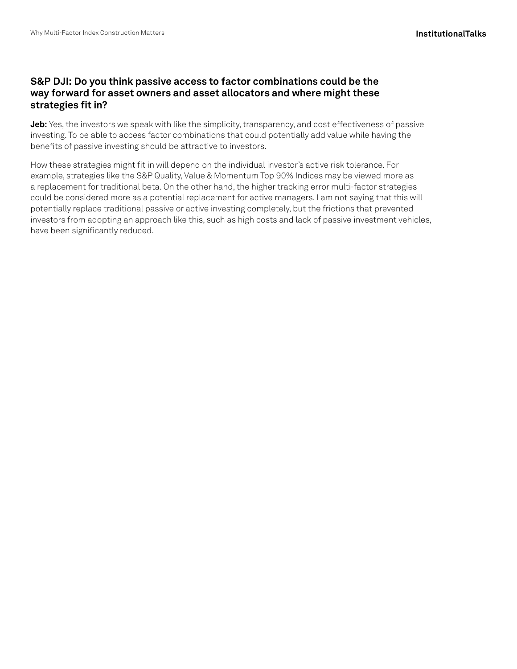#### **S&P DJI: Do you think passive access to factor combinations could be the way forward for asset owners and asset allocators and where might these strategies fit in?**

**Jeb:** Yes, the investors we speak with like the simplicity, transparency, and cost effectiveness of passive investing. To be able to access factor combinations that could potentially add value while having the benefits of passive investing should be attractive to investors.

How these strategies might fit in will depend on the individual investor's active risk tolerance. For example, strategies like the S&P Quality, Value & Momentum Top 90% Indices may be viewed more as a replacement for traditional beta. On the other hand, the higher tracking error multi-factor strategies could be considered more as a potential replacement for active managers. I am not saying that this will potentially replace traditional passive or active investing completely, but the frictions that prevented investors from adopting an approach like this, such as high costs and lack of passive investment vehicles, have been significantly reduced.